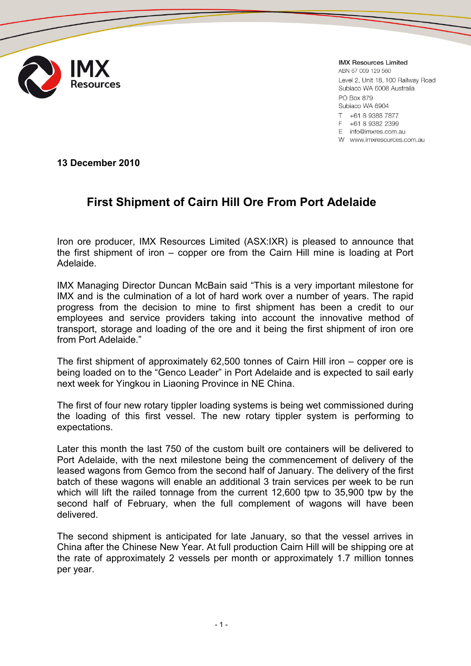

**IMX Resources Limited** 

ABN 67 009 129 560 Level 2, Unit 18, 100 Railway Road Subiaco WA 6008 Australia PO Box 879 Subiaco WA 6904 T +61 8 9388 7877

E +61 8 9382 2399

E info@imxres.com.au

W www.imxresources.com.au

**13 December 2010**

## **First Shipment of Cairn Hill Ore From Port Adelaide**

Iron ore producer, IMX Resources Limited (ASX:IXR) is pleased to announce that the first shipment of iron – copper ore from the Cairn Hill mine is loading at Port Adelaide.

IMX Managing Director Duncan McBain said "This is a very important milestone for IMX and is the culmination of a lot of hard work over a number of years. The rapid progress from the decision to mine to first shipment has been a credit to our employees and service providers taking into account the innovative method of transport, storage and loading of the ore and it being the first shipment of iron ore from Port Adelaide."

The first shipment of approximately 62,500 tonnes of Cairn Hill iron – copper ore is being loaded on to the "Genco Leader" in Port Adelaide and is expected to sail early next week for Yingkou in Liaoning Province in NE China.

The first of four new rotary tippler loading systems is being wet commissioned during the loading of this first vessel. The new rotary tippler system is performing to expectations.

Later this month the last 750 of the custom built ore containers will be delivered to Port Adelaide, with the next milestone being the commencement of delivery of the leased wagons from Gemco from the second half of January. The delivery of the first batch of these wagons will enable an additional 3 train services per week to be run which will lift the railed tonnage from the current 12,600 tpw to 35,900 tpw by the second half of February, when the full complement of wagons will have been delivered.

The second shipment is anticipated for late January, so that the vessel arrives in China after the Chinese New Year. At full production Cairn Hill will be shipping ore at the rate of approximately 2 vessels per month or approximately 1.7 million tonnes per year.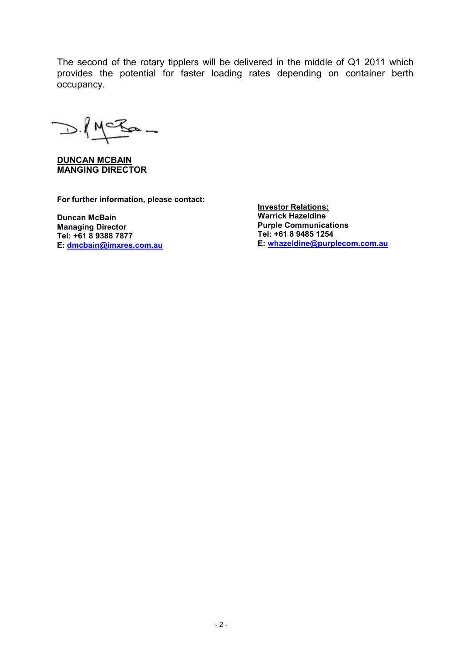The second of the rotary tipplers will be delivered in the middle of Q1 2011 which provides the potential for faster loading rates depending on container berth occupancy.

 $D.MCEa-$ 

**DUNCAN MCBAIN MANGING DIRECTOR**

**For further information, please contact:**

**Duncan McBain Managing Director Tel: +61 8 9388 7877 E: [dmcbain@imxres.com.au](mailto:dmcbain@imxres.com.au)** **Investor Relations: Warrick Hazeldine Purple Communications Tel: +61 8 9485 1254 E: [whazeldine@purplecom.com.au](mailto:whazeldine@purplecom.com.au)**